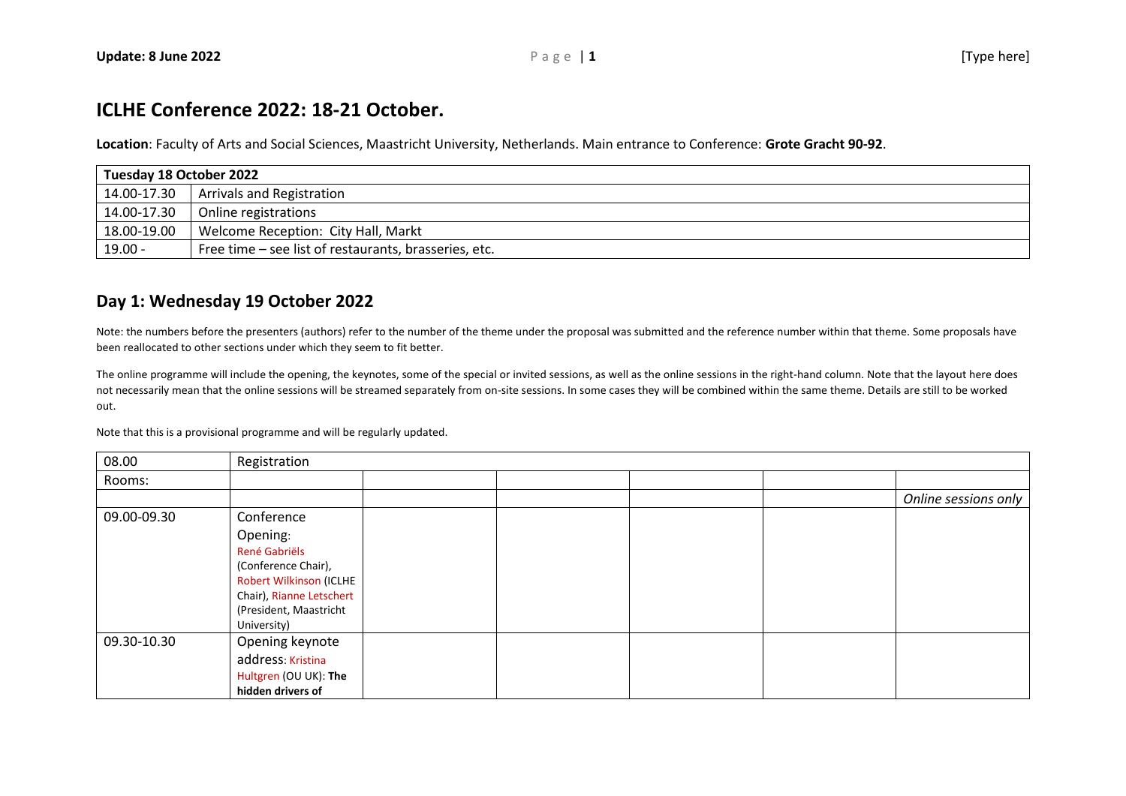## **ICLHE Conference 2022: 18-21 October.**

**Location**: Faculty of Arts and Social Sciences, Maastricht University, Netherlands. Main entrance to Conference: **Grote Gracht 90-92**.

| Tuesday 18 October 2022 |                                                       |  |  |  |
|-------------------------|-------------------------------------------------------|--|--|--|
|                         | 14.00-17.30   Arrivals and Registration               |  |  |  |
| 14.00-17.30             | Online registrations                                  |  |  |  |
| 18.00-19.00             | Welcome Reception: City Hall, Markt                   |  |  |  |
| 19.00 -                 | Free time – see list of restaurants, brasseries, etc. |  |  |  |

## **Day 1: Wednesday 19 October 2022**

Note: the numbers before the presenters (authors) refer to the number of the theme under the proposal was submitted and the reference number within that theme. Some proposals have been reallocated to other sections under which they seem to fit better.

The online programme will include the opening, the keynotes, some of the special or invited sessions, as well as the online sessions in the right-hand column. Note that the layout here does not necessarily mean that the online sessions will be streamed separately from on-site sessions. In some cases they will be combined within the same theme. Details are still to be worked out.

Note that this is a provisional programme and will be regularly updated.

| 08.00       | Registration             |  |  |  |  |                      |  |
|-------------|--------------------------|--|--|--|--|----------------------|--|
| Rooms:      |                          |  |  |  |  |                      |  |
|             |                          |  |  |  |  | Online sessions only |  |
| 09.00-09.30 | Conference               |  |  |  |  |                      |  |
|             | Opening:                 |  |  |  |  |                      |  |
|             | René Gabriëls            |  |  |  |  |                      |  |
|             | (Conference Chair),      |  |  |  |  |                      |  |
|             | Robert Wilkinson (ICLHE  |  |  |  |  |                      |  |
|             | Chair), Rianne Letschert |  |  |  |  |                      |  |
|             | (President, Maastricht   |  |  |  |  |                      |  |
|             | University)              |  |  |  |  |                      |  |
| 09.30-10.30 | Opening keynote          |  |  |  |  |                      |  |
|             | address: Kristina        |  |  |  |  |                      |  |
|             | Hultgren (OU UK): The    |  |  |  |  |                      |  |
|             | hidden drivers of        |  |  |  |  |                      |  |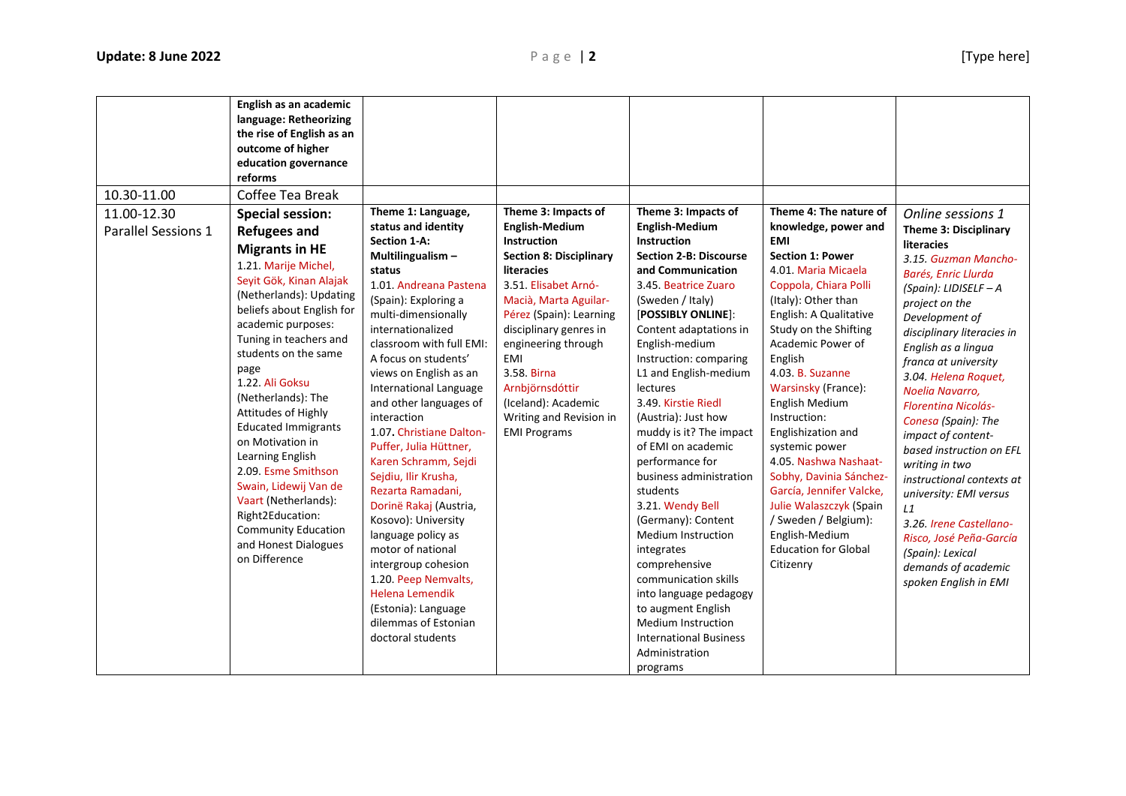| 10.30-11.00                        | English as an academic<br>language: Retheorizing<br>the rise of English as an<br>outcome of higher<br>education governance<br>reforms<br>Coffee Tea Break                                                                                                                                                                                                                                                                                                                                                                                                                   |                                                                                                                                                                                                                                                                                                                                                                                                                                                                                                                                                                                                                                                                                                                          |                                                                                                                                                                                                                                                                                                                                                                                 |                                                                                                                                                                                                                                                                                                                                                                                                                                                                                                                                                                                                                                                                                                                                   |                                                                                                                                                                                                                                                                                                                                                                                                                                                                                                                                                                         |                                                                                                                                                                                                                                                                                                                                                                                                                                                                                                                                                                                                                      |
|------------------------------------|-----------------------------------------------------------------------------------------------------------------------------------------------------------------------------------------------------------------------------------------------------------------------------------------------------------------------------------------------------------------------------------------------------------------------------------------------------------------------------------------------------------------------------------------------------------------------------|--------------------------------------------------------------------------------------------------------------------------------------------------------------------------------------------------------------------------------------------------------------------------------------------------------------------------------------------------------------------------------------------------------------------------------------------------------------------------------------------------------------------------------------------------------------------------------------------------------------------------------------------------------------------------------------------------------------------------|---------------------------------------------------------------------------------------------------------------------------------------------------------------------------------------------------------------------------------------------------------------------------------------------------------------------------------------------------------------------------------|-----------------------------------------------------------------------------------------------------------------------------------------------------------------------------------------------------------------------------------------------------------------------------------------------------------------------------------------------------------------------------------------------------------------------------------------------------------------------------------------------------------------------------------------------------------------------------------------------------------------------------------------------------------------------------------------------------------------------------------|-------------------------------------------------------------------------------------------------------------------------------------------------------------------------------------------------------------------------------------------------------------------------------------------------------------------------------------------------------------------------------------------------------------------------------------------------------------------------------------------------------------------------------------------------------------------------|----------------------------------------------------------------------------------------------------------------------------------------------------------------------------------------------------------------------------------------------------------------------------------------------------------------------------------------------------------------------------------------------------------------------------------------------------------------------------------------------------------------------------------------------------------------------------------------------------------------------|
| 11.00-12.30<br>Parallel Sessions 1 | <b>Special session:</b><br><b>Refugees and</b><br><b>Migrants in HE</b><br>1.21. Marije Michel,<br>Seyit Gök, Kinan Alajak<br>(Netherlands): Updating<br>beliefs about English for<br>academic purposes:<br>Tuning in teachers and<br>students on the same<br>page<br>1.22. Ali Goksu<br>(Netherlands): The<br>Attitudes of Highly<br><b>Educated Immigrants</b><br>on Motivation in<br>Learning English<br>2.09. Esme Smithson<br>Swain, Lidewij Van de<br>Vaart (Netherlands):<br>Right2Education:<br><b>Community Education</b><br>and Honest Dialogues<br>on Difference | Theme 1: Language,<br>status and identity<br><b>Section 1-A:</b><br>Multilingualism-<br>status<br>1.01. Andreana Pastena<br>(Spain): Exploring a<br>multi-dimensionally<br>internationalized<br>classroom with full EMI:<br>A focus on students'<br>views on English as an<br><b>International Language</b><br>and other languages of<br>interaction<br>1.07. Christiane Dalton-<br>Puffer, Julia Hüttner,<br>Karen Schramm, Sejdi<br>Sejdiu, Ilir Krusha,<br>Rezarta Ramadani,<br>Dorinë Rakaj (Austria,<br>Kosovo): University<br>language policy as<br>motor of national<br>intergroup cohesion<br>1.20. Peep Nemvalts,<br><b>Helena Lemendik</b><br>(Estonia): Language<br>dilemmas of Estonian<br>doctoral students | Theme 3: Impacts of<br><b>English-Medium</b><br><b>Instruction</b><br><b>Section 8: Disciplinary</b><br><b>literacies</b><br>3.51. Elisabet Arnó-<br>Macià, Marta Aguilar-<br>Pérez (Spain): Learning<br>disciplinary genres in<br>engineering through<br><b>EMI</b><br>3.58. Birna<br>Arnbjörnsdóttir<br>(Iceland): Academic<br>Writing and Revision in<br><b>EMI Programs</b> | Theme 3: Impacts of<br><b>English-Medium</b><br>Instruction<br><b>Section 2-B: Discourse</b><br>and Communication<br>3.45. Beatrice Zuaro<br>(Sweden / Italy)<br>[POSSIBLY ONLINE]:<br>Content adaptations in<br>English-medium<br>Instruction: comparing<br>L1 and English-medium<br>lectures<br>3.49. Kirstie Riedl<br>(Austria): Just how<br>muddy is it? The impact<br>of EMI on academic<br>performance for<br>business administration<br>students<br>3.21. Wendy Bell<br>(Germany): Content<br><b>Medium Instruction</b><br>integrates<br>comprehensive<br>communication skills<br>into language pedagogy<br>to augment English<br><b>Medium Instruction</b><br><b>International Business</b><br>Administration<br>programs | Theme 4: The nature of<br>knowledge, power and<br><b>EMI</b><br><b>Section 1: Power</b><br>4.01. Maria Micaela<br>Coppola, Chiara Polli<br>(Italy): Other than<br>English: A Qualitative<br>Study on the Shifting<br>Academic Power of<br>English<br>4.03. B. Suzanne<br>Warsinsky (France):<br>English Medium<br>Instruction:<br>Englishization and<br>systemic power<br>4.05. Nashwa Nashaat-<br>Sobhy, Davinia Sánchez-<br>García, Jennifer Valcke,<br>Julie Walaszczyk (Spain<br>/ Sweden / Belgium):<br>English-Medium<br><b>Education for Global</b><br>Citizenry | Online sessions 1<br><b>Theme 3: Disciplinary</b><br>literacies<br>3.15. Guzman Mancho-<br>Barés, Enric Llurda<br>(Spain): LIDISELF $-A$<br>project on the<br>Development of<br>disciplinary literacies in<br>English as a lingua<br>franca at university<br>3.04. Helena Roquet,<br>Noelia Navarro,<br><b>Florentina Nicolás-</b><br>Conesa (Spain): The<br>impact of content-<br>based instruction on EFL<br>writing in two<br>instructional contexts at<br>university: EMI versus<br>L1<br>3.26. Irene Castellano-<br>Risco, José Peña-García<br>(Spain): Lexical<br>demands of academic<br>spoken English in EMI |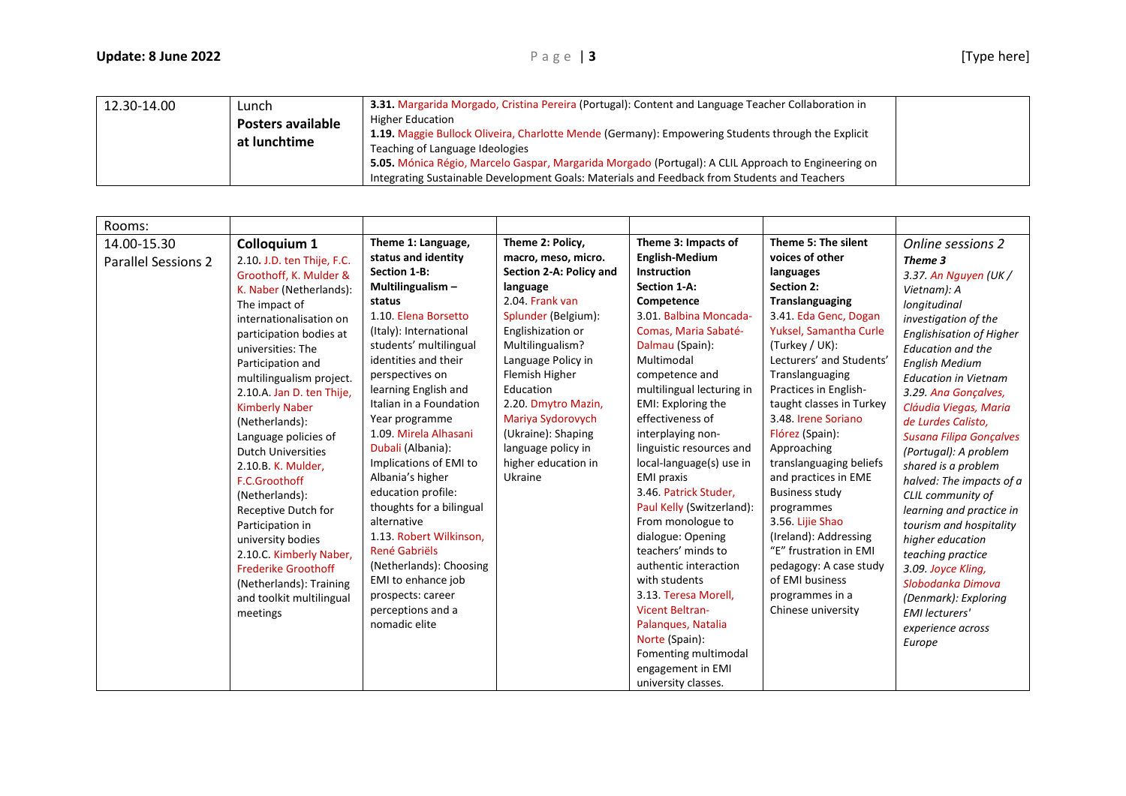| 12.30-14.00 | Lunch<br><b>Posters available</b><br>at lunchtime | 3.31. Margarida Morgado, Cristina Pereira (Portugal): Content and Language Teacher Collaboration in<br><b>Higher Education</b><br>1.19. Maggie Bullock Oliveira, Charlotte Mende (Germany): Empowering Students through the Explicit<br>Teaching of Language Ideologies<br>5.05. Mónica Régio, Marcelo Gaspar, Margarida Morgado (Portugal): A CLIL Approach to Engineering on<br>Integrating Sustainable Development Goals: Materials and Feedback from Students and Teachers |  |
|-------------|---------------------------------------------------|--------------------------------------------------------------------------------------------------------------------------------------------------------------------------------------------------------------------------------------------------------------------------------------------------------------------------------------------------------------------------------------------------------------------------------------------------------------------------------|--|
|-------------|---------------------------------------------------|--------------------------------------------------------------------------------------------------------------------------------------------------------------------------------------------------------------------------------------------------------------------------------------------------------------------------------------------------------------------------------------------------------------------------------------------------------------------------------|--|

| Rooms:                                    |                                                                                                                                                                                                                                                                                                                                                                                                                                                                                                                                                                                                                                |                                                                                                                                                                                                                                                                                                                                                                                                                                                                                                                                                                                                                  |                                                                                                                                                                                                                                                                                                                                                  |                                                                                                                                                                                                                                                                                                                                                                                                                                                                                                                                                                                                                                                                                                              |                                                                                                                                                                                                                                                                                                                                                                                                                                                                                                                                                                                             |                                                                                                                                                                                                                                                                                                                                                                                                                                                                                                                                                                                                                                                                          |
|-------------------------------------------|--------------------------------------------------------------------------------------------------------------------------------------------------------------------------------------------------------------------------------------------------------------------------------------------------------------------------------------------------------------------------------------------------------------------------------------------------------------------------------------------------------------------------------------------------------------------------------------------------------------------------------|------------------------------------------------------------------------------------------------------------------------------------------------------------------------------------------------------------------------------------------------------------------------------------------------------------------------------------------------------------------------------------------------------------------------------------------------------------------------------------------------------------------------------------------------------------------------------------------------------------------|--------------------------------------------------------------------------------------------------------------------------------------------------------------------------------------------------------------------------------------------------------------------------------------------------------------------------------------------------|--------------------------------------------------------------------------------------------------------------------------------------------------------------------------------------------------------------------------------------------------------------------------------------------------------------------------------------------------------------------------------------------------------------------------------------------------------------------------------------------------------------------------------------------------------------------------------------------------------------------------------------------------------------------------------------------------------------|---------------------------------------------------------------------------------------------------------------------------------------------------------------------------------------------------------------------------------------------------------------------------------------------------------------------------------------------------------------------------------------------------------------------------------------------------------------------------------------------------------------------------------------------------------------------------------------------|--------------------------------------------------------------------------------------------------------------------------------------------------------------------------------------------------------------------------------------------------------------------------------------------------------------------------------------------------------------------------------------------------------------------------------------------------------------------------------------------------------------------------------------------------------------------------------------------------------------------------------------------------------------------------|
| 14.00-15.30<br><b>Parallel Sessions 2</b> | Colloquium 1<br>2.10. J.D. ten Thije, F.C.<br>Groothoff, K. Mulder &<br>K. Naber (Netherlands):<br>The impact of<br>internationalisation on<br>participation bodies at<br>universities: The<br>Participation and<br>multilingualism project.<br>2.10.A. Jan D. ten Thije,<br><b>Kimberly Naber</b><br>(Netherlands):<br>Language policies of<br><b>Dutch Universities</b><br>2.10.B. K. Mulder,<br>F.C.Groothoff<br>(Netherlands):<br>Receptive Dutch for<br>Participation in<br>university bodies<br>2.10.C. Kimberly Naber,<br><b>Frederike Groothoff</b><br>(Netherlands): Training<br>and toolkit multilingual<br>meetings | Theme 1: Language,<br>status and identity<br><b>Section 1-B:</b><br>Multilingualism -<br>status<br>1.10. Elena Borsetto<br>(Italy): International<br>students' multilingual<br>identities and their<br>perspectives on<br>learning English and<br>Italian in a Foundation<br>Year programme<br>1.09. Mirela Alhasani<br>Dubali (Albania):<br>Implications of EMI to<br>Albania's higher<br>education profile:<br>thoughts for a bilingual<br>alternative<br>1.13. Robert Wilkinson,<br>René Gabriëls<br>(Netherlands): Choosing<br>EMI to enhance job<br>prospects: career<br>perceptions and a<br>nomadic elite | Theme 2: Policy,<br>macro, meso, micro.<br>Section 2-A: Policy and<br>language<br>2.04. Frank van<br>Splunder (Belgium):<br>Englishization or<br>Multilingualism?<br>Language Policy in<br>Flemish Higher<br>Education<br>2.20. Dmytro Mazin,<br>Mariya Sydorovych<br>(Ukraine): Shaping<br>language policy in<br>higher education in<br>Ukraine | Theme 3: Impacts of<br><b>English-Medium</b><br><b>Instruction</b><br>Section 1-A:<br>Competence<br>3.01. Balbina Moncada-<br>Comas, Maria Sabaté-<br>Dalmau (Spain):<br>Multimodal<br>competence and<br>multilingual lecturing in<br>EMI: Exploring the<br>effectiveness of<br>interplaying non-<br>linguistic resources and<br>local-language(s) use in<br><b>EMI</b> praxis<br>3.46. Patrick Studer,<br>Paul Kelly (Switzerland):<br>From monologue to<br>dialogue: Opening<br>teachers' minds to<br>authentic interaction<br>with students<br>3.13. Teresa Morell,<br><b>Vicent Beltran-</b><br>Palanques, Natalia<br>Norte (Spain):<br>Fomenting multimodal<br>engagement in EMI<br>university classes. | Theme 5: The silent<br>voices of other<br>languages<br><b>Section 2:</b><br><b>Translanguaging</b><br>3.41. Eda Genc, Dogan<br>Yuksel, Samantha Curle<br>(Turkey / UK):<br>Lecturers' and Students'<br>Translanguaging<br>Practices in English-<br>taught classes in Turkey<br>3.48. Irene Soriano<br>Flórez (Spain):<br>Approaching<br>translanguaging beliefs<br>and practices in EME<br><b>Business study</b><br>programmes<br>3.56. Lijie Shao<br>(Ireland): Addressing<br>"E" frustration in EMI<br>pedagogy: A case study<br>of EMI business<br>programmes in a<br>Chinese university | Online sessions 2<br>Theme 3<br>3.37. An Nguyen (UK /<br>Vietnam): A<br>longitudinal<br>investigation of the<br><b>Englishisation of Higher</b><br><b>Education and the</b><br><b>English Medium</b><br><b>Education in Vietnam</b><br>3.29. Ana Gonçalves,<br>Cláudia Viegas, Maria<br>de Lurdes Calisto,<br><b>Susana Filipa Gonçalves</b><br>(Portugal): A problem<br>shared is a problem<br>halved: The impacts of a<br>CLIL community of<br>learning and practice in<br>tourism and hospitality<br>higher education<br>teaching practice<br>3.09. Joyce Kling,<br>Slobodanka Dimova<br>(Denmark): Exploring<br><b>EMI</b> lecturers'<br>experience across<br>Europe |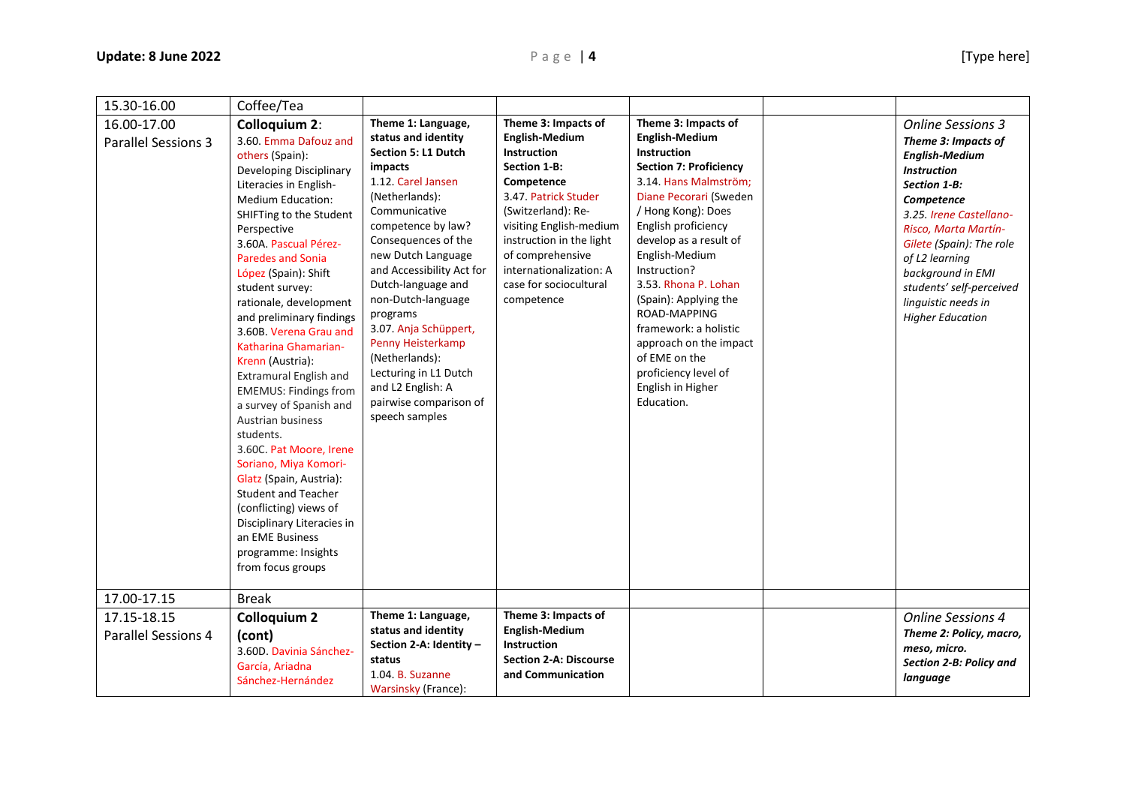| 15.30-16.00                                              | Coffee/Tea                                                                                                                                                                                                                                                                                                                                                                                                                                                                                                                                                                                                                                                                                                                                                                                                       |                                                                                                                                                                                                                                                                                                                                                                                                                                                               |                                                                                                                                                                                                                                                                                              |                                                                                                                                                                                                                                                                                                                                                                                                                                                                 |                                                                                                                                                                                                                                                                                                                                  |
|----------------------------------------------------------|------------------------------------------------------------------------------------------------------------------------------------------------------------------------------------------------------------------------------------------------------------------------------------------------------------------------------------------------------------------------------------------------------------------------------------------------------------------------------------------------------------------------------------------------------------------------------------------------------------------------------------------------------------------------------------------------------------------------------------------------------------------------------------------------------------------|---------------------------------------------------------------------------------------------------------------------------------------------------------------------------------------------------------------------------------------------------------------------------------------------------------------------------------------------------------------------------------------------------------------------------------------------------------------|----------------------------------------------------------------------------------------------------------------------------------------------------------------------------------------------------------------------------------------------------------------------------------------------|-----------------------------------------------------------------------------------------------------------------------------------------------------------------------------------------------------------------------------------------------------------------------------------------------------------------------------------------------------------------------------------------------------------------------------------------------------------------|----------------------------------------------------------------------------------------------------------------------------------------------------------------------------------------------------------------------------------------------------------------------------------------------------------------------------------|
| 16.00-17.00<br><b>Parallel Sessions 3</b><br>17.00-17.15 | <b>Colloquium 2:</b><br>3.60. Emma Dafouz and<br>others (Spain):<br>Developing Disciplinary<br>Literacies in English-<br><b>Medium Education:</b><br>SHIFTing to the Student<br>Perspective<br>3.60A. Pascual Pérez-<br><b>Paredes and Sonia</b><br>López (Spain): Shift<br>student survey:<br>rationale, development<br>and preliminary findings<br>3.60B. Verena Grau and<br>Katharina Ghamarian-<br>Krenn (Austria):<br><b>Extramural English and</b><br><b>EMEMUS: Findings from</b><br>a survey of Spanish and<br><b>Austrian business</b><br>students.<br>3.60C. Pat Moore, Irene<br>Soriano, Miya Komori-<br>Glatz (Spain, Austria):<br><b>Student and Teacher</b><br>(conflicting) views of<br>Disciplinary Literacies in<br>an EME Business<br>programme: Insights<br>from focus groups<br><b>Break</b> | Theme 1: Language,<br>status and identity<br><b>Section 5: L1 Dutch</b><br>impacts<br>1.12. Carel Jansen<br>(Netherlands):<br>Communicative<br>competence by law?<br>Consequences of the<br>new Dutch Language<br>and Accessibility Act for<br>Dutch-language and<br>non-Dutch-language<br>programs<br>3.07. Anja Schüppert,<br>Penny Heisterkamp<br>(Netherlands):<br>Lecturing in L1 Dutch<br>and L2 English: A<br>pairwise comparison of<br>speech samples | Theme 3: Impacts of<br><b>English-Medium</b><br><b>Instruction</b><br>Section 1-B:<br>Competence<br>3.47. Patrick Studer<br>(Switzerland): Re-<br>visiting English-medium<br>instruction in the light<br>of comprehensive<br>internationalization: A<br>case for sociocultural<br>competence | Theme 3: Impacts of<br><b>English-Medium</b><br><b>Instruction</b><br><b>Section 7: Proficiency</b><br>3.14. Hans Malmström;<br>Diane Pecorari (Sweden<br>/ Hong Kong): Does<br>English proficiency<br>develop as a result of<br>English-Medium<br>Instruction?<br>3.53. Rhona P. Lohan<br>(Spain): Applying the<br>ROAD-MAPPING<br>framework: a holistic<br>approach on the impact<br>of EME on the<br>proficiency level of<br>English in Higher<br>Education. | <b>Online Sessions 3</b><br>Theme 3: Impacts of<br><b>English-Medium</b><br><b>Instruction</b><br>Section 1-B:<br>Competence<br>3.25. Irene Castellano-<br>Risco, Marta Martín-<br>Gilete (Spain): The role<br>of L2 learning<br>background in EMI<br>students' self-perceived<br>linguistic needs in<br><b>Higher Education</b> |
|                                                          |                                                                                                                                                                                                                                                                                                                                                                                                                                                                                                                                                                                                                                                                                                                                                                                                                  | Theme 1: Language,                                                                                                                                                                                                                                                                                                                                                                                                                                            | Theme 3: Impacts of                                                                                                                                                                                                                                                                          |                                                                                                                                                                                                                                                                                                                                                                                                                                                                 |                                                                                                                                                                                                                                                                                                                                  |
| 17.15-18.15<br><b>Parallel Sessions 4</b>                | <b>Colloquium 2</b><br>(cont)<br>3.60D. Davinia Sánchez-<br>García, Ariadna<br>Sánchez-Hernández                                                                                                                                                                                                                                                                                                                                                                                                                                                                                                                                                                                                                                                                                                                 | status and identity<br>Section 2-A: Identity -<br>status<br>1.04. B. Suzanne<br><b>Warsinsky (France):</b>                                                                                                                                                                                                                                                                                                                                                    | <b>English-Medium</b><br><b>Instruction</b><br><b>Section 2-A: Discourse</b><br>and Communication                                                                                                                                                                                            |                                                                                                                                                                                                                                                                                                                                                                                                                                                                 | <b>Online Sessions 4</b><br>Theme 2: Policy, macro,<br>meso, micro.<br>Section 2-B: Policy and<br>language                                                                                                                                                                                                                       |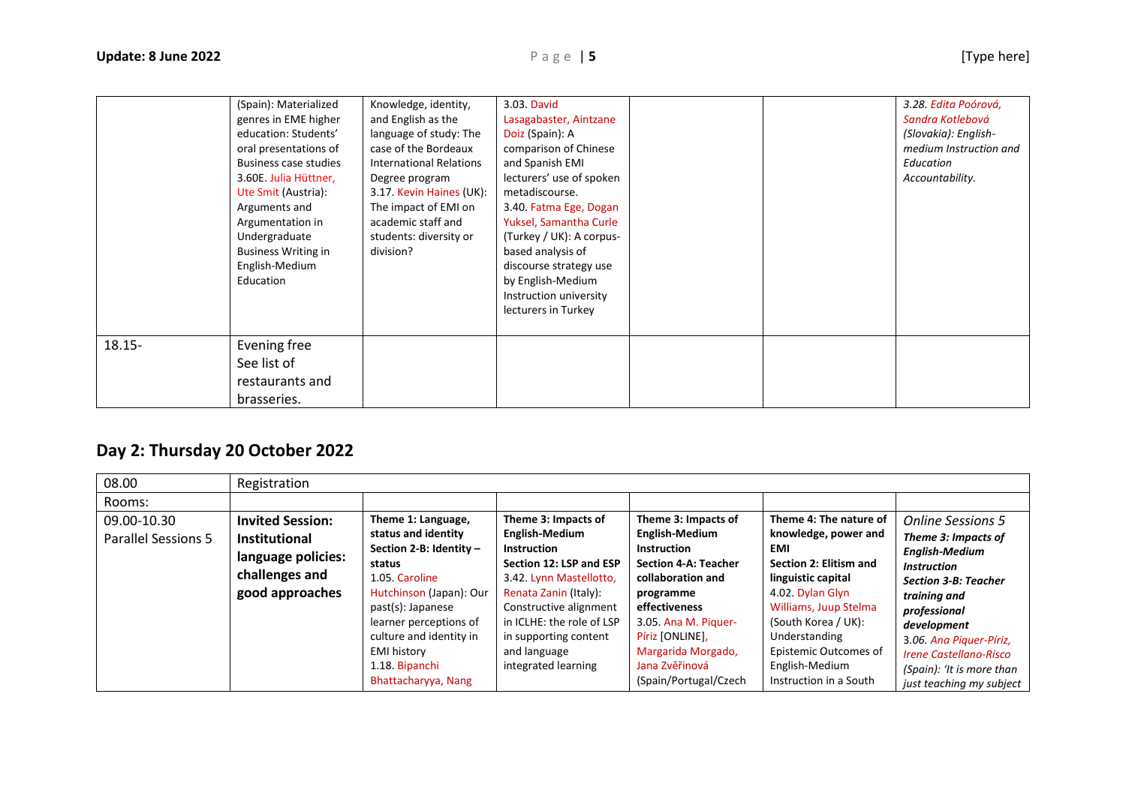|           | (Spain): Materialized<br>genres in EME higher<br>education: Students'<br>oral presentations of<br><b>Business case studies</b><br>3.60E. Julia Hüttner,<br>Ute Smit (Austria):<br>Arguments and<br>Argumentation in<br>Undergraduate<br><b>Business Writing in</b><br>English-Medium<br>Education | Knowledge, identity,<br>and English as the<br>language of study: The<br>case of the Bordeaux<br><b>International Relations</b><br>Degree program<br>3.17. Kevin Haines (UK):<br>The impact of EMI on<br>academic staff and<br>students: diversity or<br>division? | 3.03. David<br>Lasagabaster, Aintzane<br>Doiz (Spain): A<br>comparison of Chinese<br>and Spanish EMI<br>lecturers' use of spoken<br>metadiscourse.<br>3.40. Fatma Ege, Dogan<br>Yuksel, Samantha Curle<br>(Turkey / UK): A corpus-<br>based analysis of<br>discourse strategy use<br>by English-Medium<br>Instruction university<br>lecturers in Turkey |  | 3.28. Edita Poórová,<br>Sandra Kotlebová<br>(Slovakia): English-<br>medium Instruction and<br>Education<br>Accountability. |
|-----------|---------------------------------------------------------------------------------------------------------------------------------------------------------------------------------------------------------------------------------------------------------------------------------------------------|-------------------------------------------------------------------------------------------------------------------------------------------------------------------------------------------------------------------------------------------------------------------|---------------------------------------------------------------------------------------------------------------------------------------------------------------------------------------------------------------------------------------------------------------------------------------------------------------------------------------------------------|--|----------------------------------------------------------------------------------------------------------------------------|
| $18.15 -$ | Evening free<br>See list of<br>restaurants and<br>brasseries.                                                                                                                                                                                                                                     |                                                                                                                                                                                                                                                                   |                                                                                                                                                                                                                                                                                                                                                         |  |                                                                                                                            |

## **Day 2: Thursday 20 October 2022**

| 08.00                                     | Registration                                                                                               |                                                                                                                                                                                                                                                                      |                                                                                                                                                                                                                                                                   |                                                                                                                                                                                                                                                           |                                                                                                                                                                                                                                                                        |                                                                                                                                                                                                                                                                                                   |
|-------------------------------------------|------------------------------------------------------------------------------------------------------------|----------------------------------------------------------------------------------------------------------------------------------------------------------------------------------------------------------------------------------------------------------------------|-------------------------------------------------------------------------------------------------------------------------------------------------------------------------------------------------------------------------------------------------------------------|-----------------------------------------------------------------------------------------------------------------------------------------------------------------------------------------------------------------------------------------------------------|------------------------------------------------------------------------------------------------------------------------------------------------------------------------------------------------------------------------------------------------------------------------|---------------------------------------------------------------------------------------------------------------------------------------------------------------------------------------------------------------------------------------------------------------------------------------------------|
| Rooms:                                    |                                                                                                            |                                                                                                                                                                                                                                                                      |                                                                                                                                                                                                                                                                   |                                                                                                                                                                                                                                                           |                                                                                                                                                                                                                                                                        |                                                                                                                                                                                                                                                                                                   |
| 09.00-10.30<br><b>Parallel Sessions 5</b> | <b>Invited Session:</b><br><b>Institutional</b><br>language policies:<br>challenges and<br>good approaches | Theme 1: Language,<br>status and identity<br>Section 2-B: Identity -<br>status<br>1.05. Caroline<br>Hutchinson (Japan): Our<br>past(s): Japanese<br>learner perceptions of<br>culture and identity in<br><b>EMI history</b><br>1.18. Bipanchi<br>Bhattacharyya, Nang | Theme 3: Impacts of<br>English-Medium<br><b>Instruction</b><br>Section 12: LSP and ESP<br>3.42. Lynn Mastellotto,<br>Renata Zanin (Italy):<br>Constructive alignment<br>in ICLHE: the role of LSP<br>in supporting content<br>and language<br>integrated learning | Theme 3: Impacts of<br>English-Medium<br><b>Instruction</b><br><b>Section 4-A: Teacher</b><br>collaboration and<br>programme<br>effectiveness<br>3.05. Ana M. Piguer-<br>Píriz [ONLINE],<br>Margarida Morgado,<br>Jana Zvěřinová<br>(Spain/Portugal/Czech | Theme 4: The nature of<br>knowledge, power and<br><b>EMI</b><br>Section 2: Elitism and<br>linguistic capital<br>4.02. Dylan Glyn<br>Williams, Juup Stelma<br>(South Korea / UK):<br>Understanding<br>Epistemic Outcomes of<br>English-Medium<br>Instruction in a South | <b>Online Sessions 5</b><br>Theme 3: Impacts of<br><b>English-Medium</b><br><b>Instruction</b><br><b>Section 3-B: Teacher</b><br>training and<br>professional<br>development<br>3.06. Ana Piguer-Píriz,<br><b>Irene Castellano-Risco</b><br>(Spain): 'It is more than<br>just teaching my subject |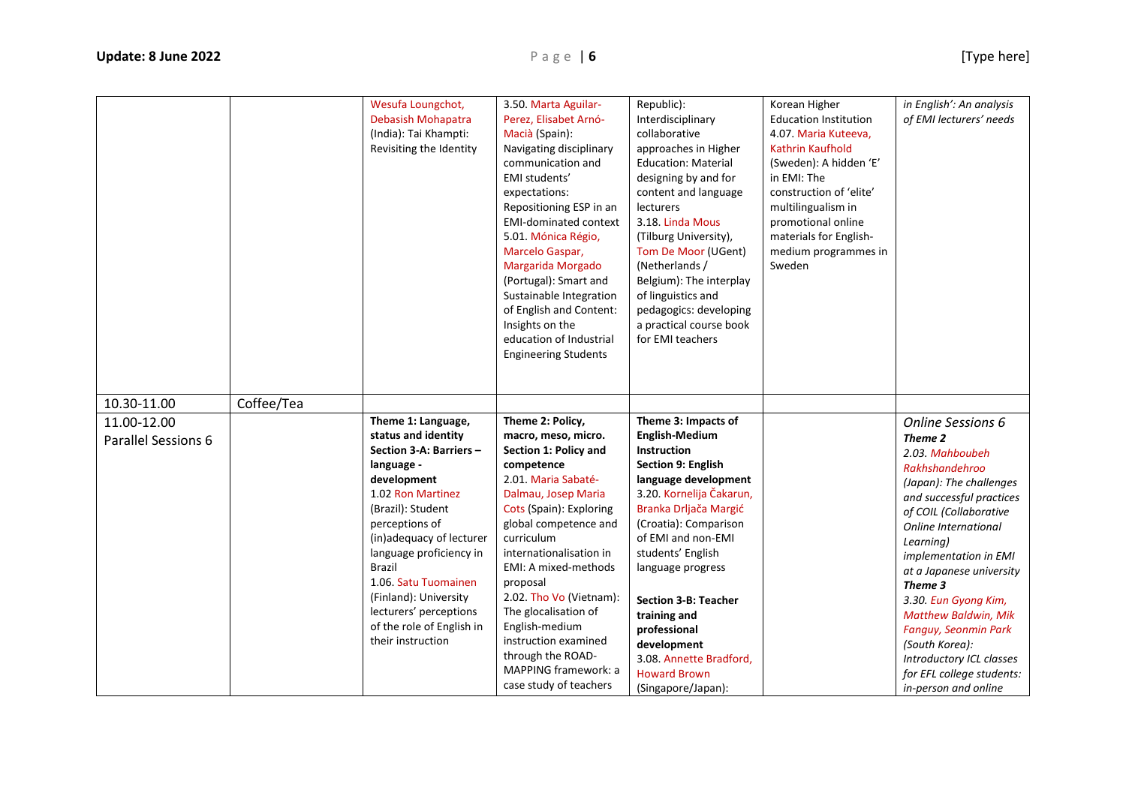|                                    |            | Wesufa Loungchot,<br>Debasish Mohapatra<br>(India): Tai Khampti:<br>Revisiting the Identity                                                                                                                                                                                                                                                                        | 3.50. Marta Aguilar-<br>Perez, Elisabet Arnó-<br>Macià (Spain):<br>Navigating disciplinary<br>communication and<br>EMI students'<br>expectations:<br>Repositioning ESP in an<br><b>EMI-dominated context</b><br>5.01. Mónica Régio,<br>Marcelo Gaspar,<br>Margarida Morgado<br>(Portugal): Smart and<br>Sustainable Integration<br>of English and Content:<br>Insights on the<br>education of Industrial<br><b>Engineering Students</b>  | Republic):<br>Interdisciplinary<br>collaborative<br>approaches in Higher<br><b>Education: Material</b><br>designing by and for<br>content and language<br>lecturers<br>3.18. Linda Mous<br>(Tilburg University),<br>Tom De Moor (UGent)<br>(Netherlands /<br>Belgium): The interplay<br>of linguistics and<br>pedagogics: developing<br>a practical course book<br>for EMI teachers                           | Korean Higher<br><b>Education Institution</b><br>4.07. Maria Kuteeva,<br><b>Kathrin Kaufhold</b><br>(Sweden): A hidden 'E'<br>in EMI: The<br>construction of 'elite'<br>multilingualism in<br>promotional online<br>materials for English-<br>medium programmes in<br>Sweden | in English': An analysis<br>of EMI lecturers' needs                                                                                                                                                                                                                                                                                                                                                                                              |
|------------------------------------|------------|--------------------------------------------------------------------------------------------------------------------------------------------------------------------------------------------------------------------------------------------------------------------------------------------------------------------------------------------------------------------|------------------------------------------------------------------------------------------------------------------------------------------------------------------------------------------------------------------------------------------------------------------------------------------------------------------------------------------------------------------------------------------------------------------------------------------|---------------------------------------------------------------------------------------------------------------------------------------------------------------------------------------------------------------------------------------------------------------------------------------------------------------------------------------------------------------------------------------------------------------|------------------------------------------------------------------------------------------------------------------------------------------------------------------------------------------------------------------------------------------------------------------------------|--------------------------------------------------------------------------------------------------------------------------------------------------------------------------------------------------------------------------------------------------------------------------------------------------------------------------------------------------------------------------------------------------------------------------------------------------|
| 10.30-11.00                        | Coffee/Tea |                                                                                                                                                                                                                                                                                                                                                                    |                                                                                                                                                                                                                                                                                                                                                                                                                                          |                                                                                                                                                                                                                                                                                                                                                                                                               |                                                                                                                                                                                                                                                                              |                                                                                                                                                                                                                                                                                                                                                                                                                                                  |
| 11.00-12.00<br>Parallel Sessions 6 |            | Theme 1: Language,<br>status and identity<br>Section 3-A: Barriers -<br>language -<br>development<br>1.02 Ron Martinez<br>(Brazil): Student<br>perceptions of<br>(in)adequacy of lecturer<br>language proficiency in<br><b>Brazil</b><br>1.06. Satu Tuomainen<br>(Finland): University<br>lecturers' perceptions<br>of the role of English in<br>their instruction | Theme 2: Policy,<br>macro, meso, micro.<br>Section 1: Policy and<br>competence<br>2.01. Maria Sabaté-<br>Dalmau, Josep Maria<br>Cots (Spain): Exploring<br>global competence and<br>curriculum<br>internationalisation in<br>EMI: A mixed-methods<br>proposal<br>2.02. Tho Vo (Vietnam):<br>The glocalisation of<br>English-medium<br>instruction examined<br>through the ROAD-<br><b>MAPPING framework: a</b><br>case study of teachers | Theme 3: Impacts of<br><b>English-Medium</b><br>Instruction<br>Section 9: English<br>language development<br>3.20. Kornelija Čakarun,<br>Branka Drljača Margić<br>(Croatia): Comparison<br>of EMI and non-EMI<br>students' English<br>language progress<br><b>Section 3-B: Teacher</b><br>training and<br>professional<br>development<br>3.08. Annette Bradford,<br><b>Howard Brown</b><br>(Singapore/Japan): |                                                                                                                                                                                                                                                                              | <b>Online Sessions 6</b><br>Theme 2<br>2.03. Mahboubeh<br>Rakhshandehroo<br>(Japan): The challenges<br>and successful practices<br>of COIL (Collaborative<br>Online International<br>Learning)<br>implementation in EMI<br>at a Japanese university<br>Theme 3<br>3.30. Eun Gyong Kim,<br><b>Matthew Baldwin, Mik</b><br>Fanguy, Seonmin Park<br>(South Korea):<br>Introductory ICL classes<br>for EFL college students:<br>in-person and online |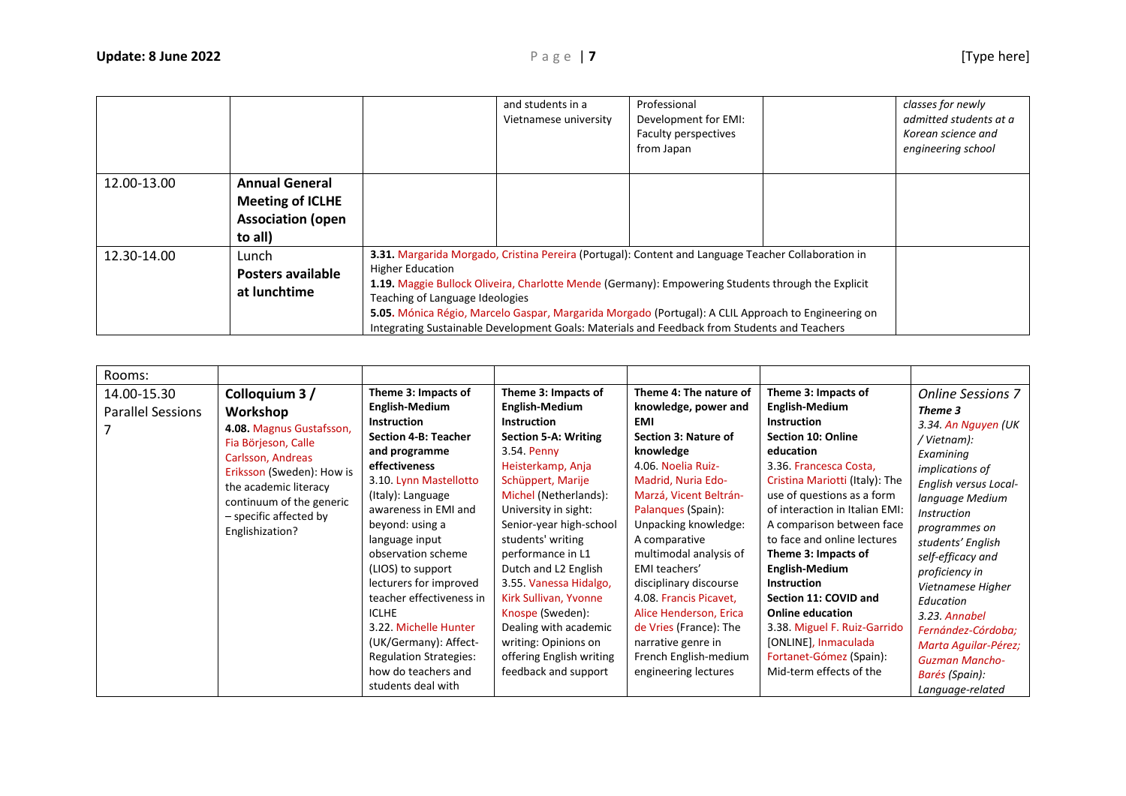|             |                                                                                         |                         | and students in a<br>Vietnamese university                                                                                                                                                                                                                                                                                                                                                                                                          | Professional<br>Development for EMI:<br>Faculty perspectives<br>from Japan |  | classes for newly<br>admitted students at a<br>Korean science and<br>engineering school |  |  |
|-------------|-----------------------------------------------------------------------------------------|-------------------------|-----------------------------------------------------------------------------------------------------------------------------------------------------------------------------------------------------------------------------------------------------------------------------------------------------------------------------------------------------------------------------------------------------------------------------------------------------|----------------------------------------------------------------------------|--|-----------------------------------------------------------------------------------------|--|--|
| 12.00-13.00 | <b>Annual General</b><br><b>Meeting of ICLHE</b><br><b>Association (open</b><br>to all) |                         |                                                                                                                                                                                                                                                                                                                                                                                                                                                     |                                                                            |  |                                                                                         |  |  |
| 12.30-14.00 | Lunch<br>Posters available<br>at lunchtime                                              | <b>Higher Education</b> | 3.31. Margarida Morgado, Cristina Pereira (Portugal): Content and Language Teacher Collaboration in<br>1.19. Maggie Bullock Oliveira, Charlotte Mende (Germany): Empowering Students through the Explicit<br>Teaching of Language Ideologies<br>5.05. Mónica Régio, Marcelo Gaspar, Margarida Morgado (Portugal): A CLIL Approach to Engineering on<br>Integrating Sustainable Development Goals: Materials and Feedback from Students and Teachers |                                                                            |  |                                                                                         |  |  |

| Rooms:                                  |                                                                                                                                                                                                                                   |                                                                                                                                                                                                                                                                                                                                                                                                                                                                                    |                                                                                                                                                                                                                                                                                                                                                                                                                                                                               |                                                                                                                                                                                                                                                                                                                                                                                                                                                                  |                                                                                                                                                                                                                                                                                                                                                                                                                                                                                                                                              |                                                                                                                                                                                                                                                                                                                                                                                                                                 |
|-----------------------------------------|-----------------------------------------------------------------------------------------------------------------------------------------------------------------------------------------------------------------------------------|------------------------------------------------------------------------------------------------------------------------------------------------------------------------------------------------------------------------------------------------------------------------------------------------------------------------------------------------------------------------------------------------------------------------------------------------------------------------------------|-------------------------------------------------------------------------------------------------------------------------------------------------------------------------------------------------------------------------------------------------------------------------------------------------------------------------------------------------------------------------------------------------------------------------------------------------------------------------------|------------------------------------------------------------------------------------------------------------------------------------------------------------------------------------------------------------------------------------------------------------------------------------------------------------------------------------------------------------------------------------------------------------------------------------------------------------------|----------------------------------------------------------------------------------------------------------------------------------------------------------------------------------------------------------------------------------------------------------------------------------------------------------------------------------------------------------------------------------------------------------------------------------------------------------------------------------------------------------------------------------------------|---------------------------------------------------------------------------------------------------------------------------------------------------------------------------------------------------------------------------------------------------------------------------------------------------------------------------------------------------------------------------------------------------------------------------------|
| 14.00-15.30<br><b>Parallel Sessions</b> | Colloquium 3 /<br>Workshop<br>4.08. Magnus Gustafsson,<br>Fia Börjeson, Calle<br>Carlsson, Andreas<br>Eriksson (Sweden): How is<br>the academic literacy<br>continuum of the generic<br>- specific affected by<br>Englishization? | Theme 3: Impacts of<br>English-Medium<br><b>Instruction</b><br>Section 4-B: Teacher<br>and programme<br>effectiveness<br>3.10. Lynn Mastellotto<br>(Italy): Language<br>awareness in EMI and<br>beyond: using a<br>language input<br>observation scheme<br>(LIOS) to support<br>lecturers for improved<br>teacher effectiveness in<br><b>ICLHE</b><br>3.22. Michelle Hunter<br>(UK/Germany): Affect-<br><b>Regulation Strategies:</b><br>how do teachers and<br>students deal with | Theme 3: Impacts of<br><b>English-Medium</b><br><b>Instruction</b><br>Section 5-A: Writing<br>3.54. Penny<br>Heisterkamp, Anja<br>Schüppert, Marije<br>Michel (Netherlands):<br>University in sight:<br>Senior-year high-school<br>students' writing<br>performance in L1<br>Dutch and L2 English<br>3.55. Vanessa Hidalgo,<br>Kirk Sullivan, Yvonne<br>Knospe (Sweden):<br>Dealing with academic<br>writing: Opinions on<br>offering English writing<br>feedback and support | Theme 4: The nature of<br>knowledge, power and<br><b>EMI</b><br>Section 3: Nature of<br>knowledge<br>4.06. Noelia Ruiz-<br>Madrid, Nuria Edo-<br>Marzá, Vicent Beltrán-<br>Palanques (Spain):<br>Unpacking knowledge:<br>A comparative<br>multimodal analysis of<br>EMI teachers'<br>disciplinary discourse<br>4.08. Francis Picavet,<br>Alice Henderson, Erica<br>de Vries (France): The<br>narrative genre in<br>French English-medium<br>engineering lectures | Theme 3: Impacts of<br><b>English-Medium</b><br><b>Instruction</b><br><b>Section 10: Online</b><br>education<br>3.36. Francesca Costa,<br>Cristina Mariotti (Italy): The<br>use of questions as a form<br>of interaction in Italian EMI:<br>A comparison between face<br>to face and online lectures<br>Theme 3: Impacts of<br><b>English-Medium</b><br><b>Instruction</b><br>Section 11: COVID and<br><b>Online education</b><br>3.38. Miguel F. Ruiz-Garrido<br>[ONLINE], Inmaculada<br>Fortanet-Gómez (Spain):<br>Mid-term effects of the | <b>Online Sessions 7</b><br>Theme 3<br>3.34. An Nguyen (UK<br>/ Vietnam):<br>Examining<br><i>implications of</i><br>English versus Local-<br>language Medium<br><b>Instruction</b><br>programmes on<br>students' English<br>self-efficacy and<br>proficiency in<br>Vietnamese Higher<br>Education<br>3.23. Annabel<br>Fernández-Córdoba:<br>Marta Aquilar-Pérez;<br><b>Guzman Mancho-</b><br>Barés (Spain):<br>Language-related |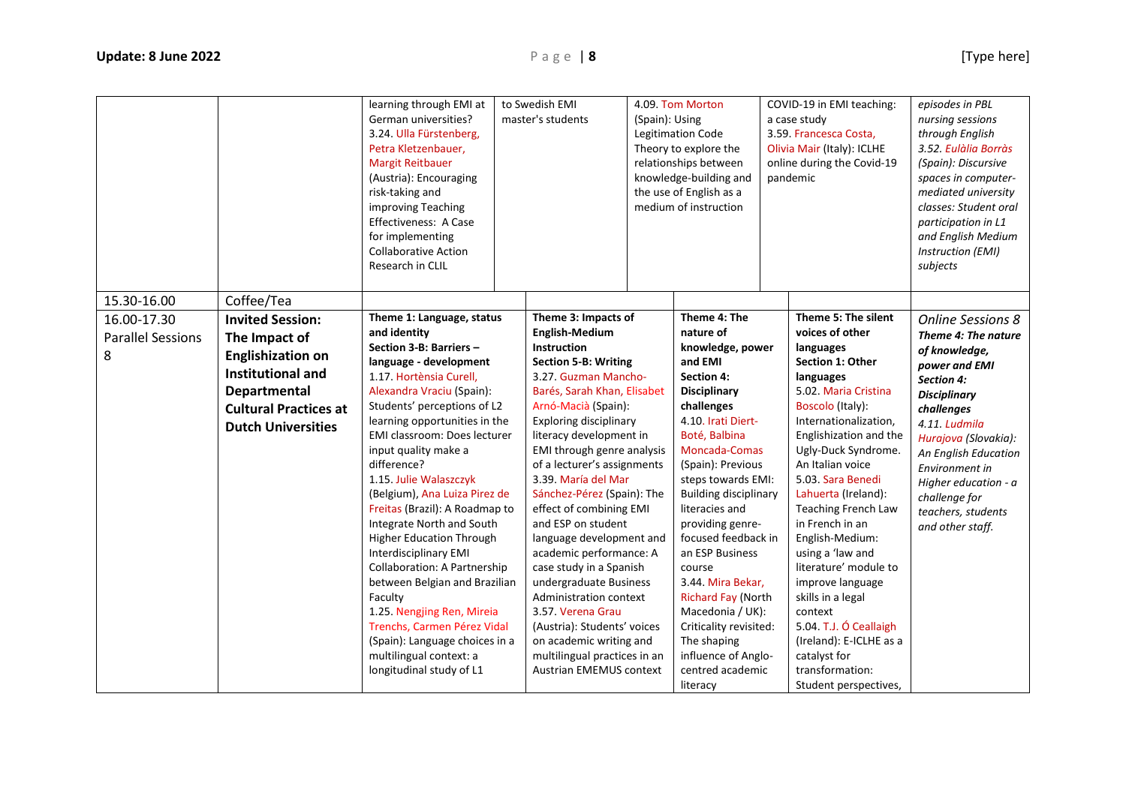|                               |                                                                                                                                                    | learning through EMI at<br>German universities?<br>3.24. Ulla Fürstenberg,<br>Petra Kletzenbauer,<br><b>Margit Reitbauer</b><br>(Austria): Encouraging<br>risk-taking and<br>improving Teaching<br>Effectiveness: A Case<br>for implementing<br><b>Collaborative Action</b><br>Research in CLIL                                                                                                                                                                                                                                                                                                                                                                                                 | to Swedish EMI<br>master's students                                                                                                                                                                                                                                                                                                                                                                                                                                                                                                                                                                                                                                            | (Spain): Using | 4.09. Tom Morton<br>Legitimation Code<br>Theory to explore the<br>relationships between<br>knowledge-building and<br>the use of English as a<br>medium of instruction                                                                                                                                                                                                                                                                                                                          | COVID-19 in EMI teaching:<br>a case study<br>3.59. Francesca Costa,<br>Olivia Mair (Italy): ICLHE<br>online during the Covid-19<br>pandemic                                                                                                                                                                                                                                                                                                                                                                                               | episodes in PBL<br>nursing sessions<br>through English<br>3.52. Eulàlia Borràs<br>(Spain): Discursive<br>spaces in computer-<br>mediated university<br>classes: Student oral<br>participation in L1<br>and English Medium<br>Instruction (EMI)<br>subjects                     |
|-------------------------------|----------------------------------------------------------------------------------------------------------------------------------------------------|-------------------------------------------------------------------------------------------------------------------------------------------------------------------------------------------------------------------------------------------------------------------------------------------------------------------------------------------------------------------------------------------------------------------------------------------------------------------------------------------------------------------------------------------------------------------------------------------------------------------------------------------------------------------------------------------------|--------------------------------------------------------------------------------------------------------------------------------------------------------------------------------------------------------------------------------------------------------------------------------------------------------------------------------------------------------------------------------------------------------------------------------------------------------------------------------------------------------------------------------------------------------------------------------------------------------------------------------------------------------------------------------|----------------|------------------------------------------------------------------------------------------------------------------------------------------------------------------------------------------------------------------------------------------------------------------------------------------------------------------------------------------------------------------------------------------------------------------------------------------------------------------------------------------------|-------------------------------------------------------------------------------------------------------------------------------------------------------------------------------------------------------------------------------------------------------------------------------------------------------------------------------------------------------------------------------------------------------------------------------------------------------------------------------------------------------------------------------------------|--------------------------------------------------------------------------------------------------------------------------------------------------------------------------------------------------------------------------------------------------------------------------------|
| 15.30-16.00<br>16.00-17.30    | Coffee/Tea<br><b>Invited Session:</b>                                                                                                              | Theme 1: Language, status                                                                                                                                                                                                                                                                                                                                                                                                                                                                                                                                                                                                                                                                       | Theme 3: Impacts of                                                                                                                                                                                                                                                                                                                                                                                                                                                                                                                                                                                                                                                            |                | Theme 4: The                                                                                                                                                                                                                                                                                                                                                                                                                                                                                   | Theme 5: The silent                                                                                                                                                                                                                                                                                                                                                                                                                                                                                                                       | <b>Online Sessions 8</b>                                                                                                                                                                                                                                                       |
| <b>Parallel Sessions</b><br>8 | The Impact of<br><b>Englishization on</b><br><b>Institutional and</b><br>Departmental<br><b>Cultural Practices at</b><br><b>Dutch Universities</b> | and identity<br>Section 3-B: Barriers -<br>language - development<br>1.17. Hortènsia Curell,<br>Alexandra Vraciu (Spain):<br>Students' perceptions of L2<br>learning opportunities in the<br>EMI classroom: Does lecturer<br>input quality make a<br>difference?<br>1.15. Julie Walaszczyk<br>(Belgium), Ana Luiza Pirez de<br>Freitas (Brazil): A Roadmap to<br>Integrate North and South<br><b>Higher Education Through</b><br>Interdisciplinary EMI<br><b>Collaboration: A Partnership</b><br>between Belgian and Brazilian<br>Faculty<br>1.25. Nengjing Ren, Mireia<br>Trenchs, Carmen Pérez Vidal<br>(Spain): Language choices in a<br>multilingual context: a<br>longitudinal study of L1 | <b>English-Medium</b><br><b>Instruction</b><br><b>Section 5-B: Writing</b><br>3.27. Guzman Mancho-<br>Barés, Sarah Khan, Elisabet<br>Arnó-Macià (Spain):<br><b>Exploring disciplinary</b><br>literacy development in<br>EMI through genre analysis<br>of a lecturer's assignments<br>3.39. María del Mar<br>Sánchez-Pérez (Spain): The<br>effect of combining EMI<br>and ESP on student<br>language development and<br>academic performance: A<br>case study in a Spanish<br>undergraduate Business<br>Administration context<br>3.57. Verena Grau<br>(Austria): Students' voices<br>on academic writing and<br>multilingual practices in an<br><b>Austrian EMEMUS context</b> |                | nature of<br>knowledge, power<br>and EMI<br><b>Section 4:</b><br><b>Disciplinary</b><br>challenges<br>4.10. Irati Diert-<br>Boté, Balbina<br>Moncada-Comas<br>(Spain): Previous<br>steps towards EMI:<br><b>Building disciplinary</b><br>literacies and<br>providing genre-<br>focused feedback in<br>an ESP Business<br>course<br>3.44. Mira Bekar,<br>Richard Fay (North<br>Macedonia / UK):<br>Criticality revisited:<br>The shaping<br>influence of Anglo-<br>centred academic<br>literacy | voices of other<br>languages<br>Section 1: Other<br>languages<br>5.02. Maria Cristina<br>Boscolo (Italy):<br>Internationalization,<br>Englishization and the<br>Ugly-Duck Syndrome.<br>An Italian voice<br>5.03. Sara Benedi<br>Lahuerta (Ireland):<br><b>Teaching French Law</b><br>in French in an<br>English-Medium:<br>using a 'law and<br>literature' module to<br>improve language<br>skills in a legal<br>context<br>5.04. T.J. Ó Ceallaigh<br>(Ireland): E-ICLHE as a<br>catalyst for<br>transformation:<br>Student perspectives, | Theme 4: The nature<br>of knowledge,<br>power and EMI<br>Section 4:<br><b>Disciplinary</b><br>challenges<br>4.11. Ludmila<br>Hurajova (Slovakia):<br>An English Education<br>Environment in<br>Higher education - a<br>challenge for<br>teachers, students<br>and other staff. |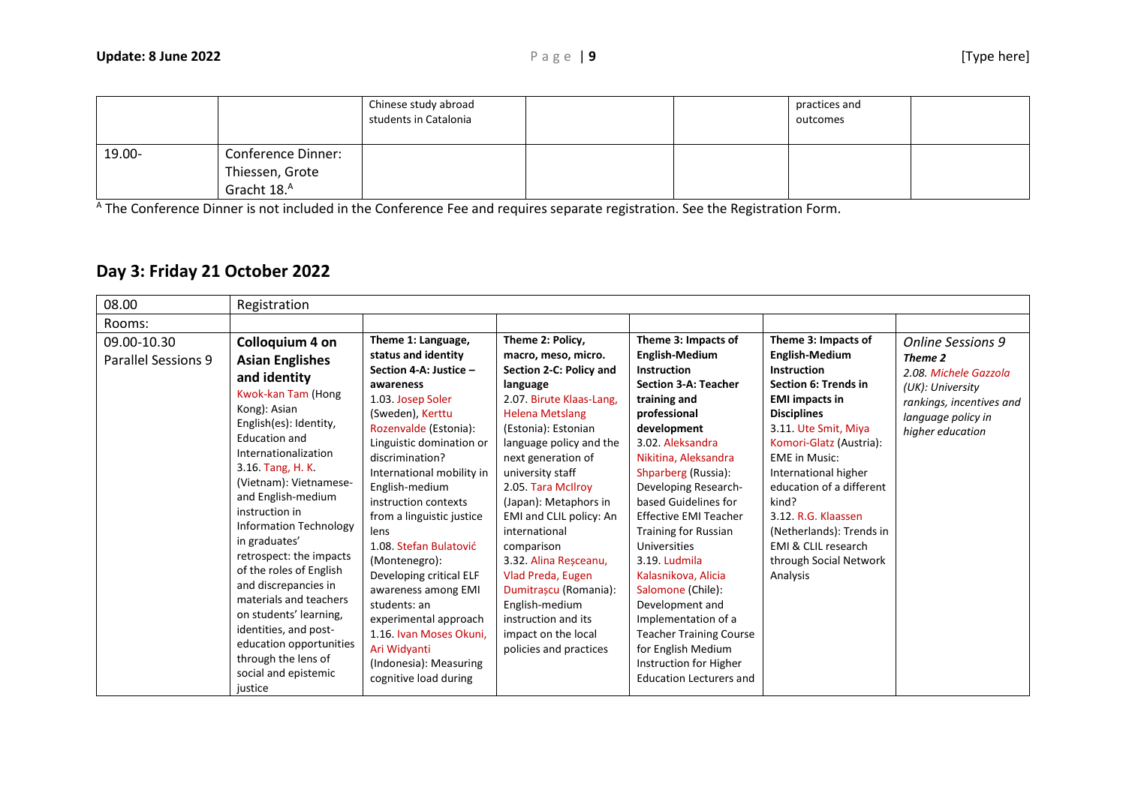|        |                                                                         | Chinese study abroad<br>students in Catalonia |  | practices and<br>outcomes |  |
|--------|-------------------------------------------------------------------------|-----------------------------------------------|--|---------------------------|--|
| 19.00- | <b>Conference Dinner:</b><br>Thiessen, Grote<br>Gracht 18. <sup>A</sup> |                                               |  |                           |  |

A The Conference Dinner is not included in the Conference Fee and requires separate registration. See the Registration Form.

## **Day 3: Friday 21 October 2022**

| 08.00                              | Registration                                                                                                                                                                                                                                                                                                                                                                                                                                                                                                                                                       |                                                                                                                                                                                                                                                                                                                                                                                                                                                                                                                                                   |                                                                                                                                                                                                                                                                                                                                                                                                                                                                                                            |                                                                                                                                                                                                                                                                                                                                                                                                                                                                                                                                                                               |                                                                                                                                                                                                                                                                                                                                                                                                          |                                                                                                                                                 |
|------------------------------------|--------------------------------------------------------------------------------------------------------------------------------------------------------------------------------------------------------------------------------------------------------------------------------------------------------------------------------------------------------------------------------------------------------------------------------------------------------------------------------------------------------------------------------------------------------------------|---------------------------------------------------------------------------------------------------------------------------------------------------------------------------------------------------------------------------------------------------------------------------------------------------------------------------------------------------------------------------------------------------------------------------------------------------------------------------------------------------------------------------------------------------|------------------------------------------------------------------------------------------------------------------------------------------------------------------------------------------------------------------------------------------------------------------------------------------------------------------------------------------------------------------------------------------------------------------------------------------------------------------------------------------------------------|-------------------------------------------------------------------------------------------------------------------------------------------------------------------------------------------------------------------------------------------------------------------------------------------------------------------------------------------------------------------------------------------------------------------------------------------------------------------------------------------------------------------------------------------------------------------------------|----------------------------------------------------------------------------------------------------------------------------------------------------------------------------------------------------------------------------------------------------------------------------------------------------------------------------------------------------------------------------------------------------------|-------------------------------------------------------------------------------------------------------------------------------------------------|
| Rooms:                             |                                                                                                                                                                                                                                                                                                                                                                                                                                                                                                                                                                    |                                                                                                                                                                                                                                                                                                                                                                                                                                                                                                                                                   |                                                                                                                                                                                                                                                                                                                                                                                                                                                                                                            |                                                                                                                                                                                                                                                                                                                                                                                                                                                                                                                                                                               |                                                                                                                                                                                                                                                                                                                                                                                                          |                                                                                                                                                 |
| 09.00-10.30<br>Parallel Sessions 9 | Colloquium 4 on<br><b>Asian Englishes</b><br>and identity<br>Kwok-kan Tam (Hong<br>Kong): Asian<br>English(es): Identity,<br><b>Education and</b><br>Internationalization<br>3.16. Tang, H. K.<br>(Vietnam): Vietnamese-<br>and English-medium<br>instruction in<br><b>Information Technology</b><br>in graduates'<br>retrospect: the impacts<br>of the roles of English<br>and discrepancies in<br>materials and teachers<br>on students' learning,<br>identities, and post-<br>education opportunities<br>through the lens of<br>social and epistemic<br>justice | Theme 1: Language,<br>status and identity<br>Section 4-A: Justice -<br>awareness<br>1.03. Josep Soler<br>(Sweden), Kerttu<br>Rozenvalde (Estonia):<br>Linguistic domination or<br>discrimination?<br>International mobility in<br>English-medium<br>instruction contexts<br>from a linguistic justice<br>lens<br>1.08. Stefan Bulatović<br>(Montenegro):<br>Developing critical ELF<br>awareness among EMI<br>students: an<br>experimental approach<br>1.16. Ivan Moses Okuni,<br>Ari Widyanti<br>(Indonesia): Measuring<br>cognitive load during | Theme 2: Policy,<br>macro, meso, micro.<br>Section 2-C: Policy and<br>language<br>2.07. Birute Klaas-Lang,<br><b>Helena Metslang</b><br>(Estonia): Estonian<br>language policy and the<br>next generation of<br>university staff<br>2.05. Tara McIlroy<br>(Japan): Metaphors in<br>EMI and CLIL policy: An<br>international<br>comparison<br>3.32. Alina Reșceanu,<br>Vlad Preda, Eugen<br>Dumitrașcu (Romania):<br>English-medium<br>instruction and its<br>impact on the local<br>policies and practices | Theme 3: Impacts of<br><b>English-Medium</b><br><b>Instruction</b><br><b>Section 3-A: Teacher</b><br>training and<br>professional<br>development<br>3.02. Aleksandra<br>Nikitina, Aleksandra<br>Shparberg (Russia):<br>Developing Research-<br>based Guidelines for<br><b>Effective EMI Teacher</b><br>Training for Russian<br><b>Universities</b><br>3.19. Ludmila<br>Kalasnikova, Alicia<br>Salomone (Chile):<br>Development and<br>Implementation of a<br><b>Teacher Training Course</b><br>for English Medium<br>Instruction for Higher<br><b>Education Lecturers and</b> | Theme 3: Impacts of<br><b>English-Medium</b><br><b>Instruction</b><br><b>Section 6: Trends in</b><br><b>EMI</b> impacts in<br><b>Disciplines</b><br>3.11. Ute Smit, Miya<br>Komori-Glatz (Austria):<br><b>EME</b> in Music:<br>International higher<br>education of a different<br>kind?<br>3.12. R.G. Klaassen<br>(Netherlands): Trends in<br>EMI & CLIL research<br>through Social Network<br>Analysis | Online Sessions 9<br>Theme 2<br>2.08. Michele Gazzola<br>(UK): University<br>rankings, incentives and<br>language policy in<br>higher education |